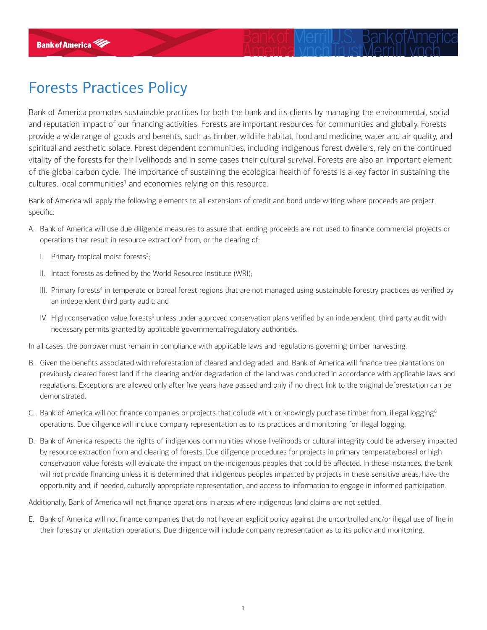## Forests Practices Policy

Bank of America promotes sustainable practices for both the bank and its clients by managing the environmental, social and reputation impact of our financing activities. Forests are important resources for communities and globally. Forests provide a wide range of goods and benefits, such as timber, wildlife habitat, food and medicine, water and air quality, and spiritual and aesthetic solace. Forest dependent communities, including indigenous forest dwellers, rely on the continued vitality of the forests for their livelihoods and in some cases their cultural survival. Forests are also an important element of the global carbon cycle. The importance of sustaining the ecological health of forests is a key factor in sustaining the cultures, local communities<sup>1</sup> and economies relying on this resource.

Bank of America will apply the following elements to all extensions of credit and bond underwriting where proceeds are project specific:

- A. Bank of America will use due diligence measures to assure that lending proceeds are not used to finance commercial projects or operations that result in resource extraction<sup>2</sup> from, or the clearing of:
	- I. Primary tropical moist forests $3$ ; ;
	- II. Intact forests as defined by the World Resource Institute (WRI);
	- III. Primary forests<sup>4</sup> in temperate or boreal forest regions that are not managed using sustainable forestry practices as verified by an independent third party audit; and
	- IV. High conservation value forests<sup>5</sup> unless under approved conservation plans verified by an independent, third party audit with necessary permits granted by applicable governmental/regulatory authorities.

In all cases, the borrower must remain in compliance with applicable laws and regulations governing timber harvesting.

- B. Given the benefits associated with reforestation of cleared and degraded land, Bank of America will finance tree plantations on previously cleared forest land if the clearing and/or degradation of the land was conducted in accordance with applicable laws and regulations. Exceptions are allowed only after five years have passed and only if no direct link to the original deforestation can be demonstrated.
- C. Bank of America will not finance companies or projects that collude with, or knowingly purchase timber from, illegal logging<sup>6</sup> operations. Due diligence will include company representation as to its practices and monitoring for illegal logging.
- D. Bank of America respects the rights of indigenous communities whose livelihoods or cultural integrity could be adversely impacted by resource extraction from and clearing of forests. Due diligence procedures for projects in primary temperate/boreal or high conservation value forests will evaluate the impact on the indigenous peoples that could be affected. In these instances, the bank will not provide financing unless it is determined that indigenous peoples impacted by projects in these sensitive areas, have the opportunity and, if needed, culturally appropriate representation, and access to information to engage in informed participation.

Additionally, Bank of America will not finance operations in areas where indigenous land claims are not settled.

E. Bank of America will not finance companies that do not have an explicit policy against the uncontrolled and/or illegal use of fire in their forestry or plantation operations. Due diligence will include company representation as to its policy and monitoring.